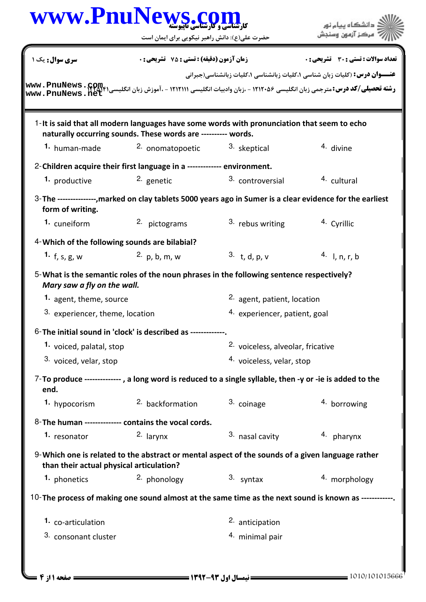| www.PnuNews.c                                  | حضرت علی(ع): دانش راهبر نیکویی برای ایمان است                                                                                                                                          |                                        | دانشگاه بیام نور<br>مرڪز آزمون وس                                                 |
|------------------------------------------------|----------------------------------------------------------------------------------------------------------------------------------------------------------------------------------------|----------------------------------------|-----------------------------------------------------------------------------------|
| <b>سری سوال :</b> یک ۱                         | زمان آزمون (دقیقه) : تستی : 75 ٪ تشریحی : 0                                                                                                                                            |                                        | تعداد سوالات : تستي : 30 ٪ تشريحي : 0                                             |
| www.PnuNews.net                                | <b>رشته تحصیلی/کد درس:</b> مترجمی زبان انگلیسی ۱۲۱۲۰۵۶ - ،زبان وادبیات انگلیسی ۱۲۱۲۱۱۱ - ،آموزش زبان انگلیسی۱ <b>۱۲</b> ۵۲۴ میلی/ک <b>د در س:</b> مترجمی زبان انگلیسی ۱۲۵۲۴۰۰۰۰۰ ----- |                                        | <b>عنـــوان درس:</b> (کلیات زبان شناسی ۱،کلیات زبانشناسی ۱،کلیات زبانشناسی(جبرانی |
|                                                | 1-It is said that all modern languages have some words with pronunciation that seem to echo<br>naturally occurring sounds. These words are ---------- words.                           |                                        |                                                                                   |
| 1. human-made                                  | 2. onomatopoetic                                                                                                                                                                       | 3. skeptical                           | 4. divine                                                                         |
|                                                | 2-Children acquire their first language in a ------------- environment.                                                                                                                |                                        |                                                                                   |
| 1. productive                                  | 2. genetic                                                                                                                                                                             | 3. controversial                       | <sup>4.</sup> cultural                                                            |
| form of writing.                               | 3-The ---------------, marked on clay tablets 5000 years ago in Sumer is a clear evidence for the earliest                                                                             |                                        |                                                                                   |
| 1. cuneiform                                   | 2. pictograms                                                                                                                                                                          | 3. rebus writing                       | 4. Cyrillic                                                                       |
| 4- Which of the following sounds are bilabial? |                                                                                                                                                                                        |                                        |                                                                                   |
| 1. $f, s, g, w$                                | 2. $p, b, m, w$                                                                                                                                                                        | 3. t, d, p, v                          | 4. I, n, r, b                                                                     |
| Mary saw a fly on the wall.                    | 5-What is the semantic roles of the noun phrases in the following sentence respectively?                                                                                               |                                        |                                                                                   |
| 1. agent, theme, source                        |                                                                                                                                                                                        | <sup>2.</sup> agent, patient, location |                                                                                   |
| 3. experiencer, theme, location                |                                                                                                                                                                                        | 4. experiencer, patient, goal          |                                                                                   |
|                                                | 6-The initial sound in 'clock' is described as -------------.                                                                                                                          |                                        |                                                                                   |
| 1. voiced, palatal, stop                       |                                                                                                                                                                                        | 2. voiceless, alveolar, fricative      |                                                                                   |
| 3. voiced, velar, stop                         |                                                                                                                                                                                        | 4. voiceless, velar, stop              |                                                                                   |
| end.                                           | 7-To produce --------------, a long word is reduced to a single syllable, then -y or -ie is added to the                                                                               |                                        |                                                                                   |
| 1. hypocorism                                  | 2. backformation                                                                                                                                                                       | 3. coinage                             | 4. borrowing                                                                      |
|                                                | 8-The human -------------- contains the vocal cords.                                                                                                                                   |                                        |                                                                                   |
| 1. resonator                                   | 2. larynx                                                                                                                                                                              | 3. nasal cavity                        | 4. pharynx                                                                        |
| than their actual physical articulation?       | 9-Which one is related to the abstract or mental aspect of the sounds of a given language rather                                                                                       |                                        |                                                                                   |
| 1. phonetics                                   | 2. phonology                                                                                                                                                                           | 3. syntax                              | 4. morphology                                                                     |
|                                                | 10-The process of making one sound almost at the same time as the next sound is known as ------------                                                                                  |                                        |                                                                                   |
|                                                |                                                                                                                                                                                        |                                        |                                                                                   |
| 1. co-articulation                             |                                                                                                                                                                                        | 2. anticipation                        |                                                                                   |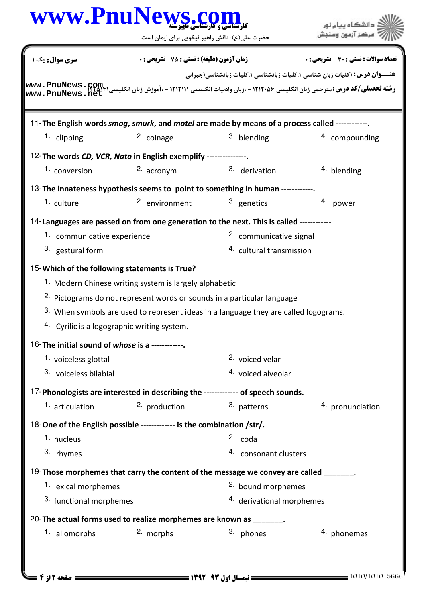| www.PnuNews.com                                  | حضرت علی(ع): دانش راهبر نیکویی برای ایمان است                                                  |                                     | دانشگاه بیام نو<br>مركز آزمون وسنڊ                                                |
|--------------------------------------------------|------------------------------------------------------------------------------------------------|-------------------------------------|-----------------------------------------------------------------------------------|
| <b>سری سوال:</b> یک ۱                            | زمان آزمون (دقیقه) : تستی : 75 ٪ تشریحی : 0                                                    |                                     | تعداد سوالات : تستي : 30 ٪ تشريحي : 0                                             |
| www.PnuNews.net                                  |                                                                                                |                                     | <b>عنـــوان درس:</b> (کلیات زبان شناسی ۱،کلیات زبانشناسی ۱،کلیات زبانشناسی(جبرانی |
|                                                  | 11-The English words smog, smurk, and motel are made by means of a process called ------------ |                                     |                                                                                   |
| 1. clipping                                      | 2. coinage                                                                                     | 3. blending                         | 4. compounding                                                                    |
|                                                  | 12-The words CD, VCR, Nato in English exemplify ---------------.                               |                                     |                                                                                   |
| 1. conversion                                    | 2. acronym                                                                                     | 3. derivation                       | $4.$ blending                                                                     |
|                                                  | 13-The innateness hypothesis seems to point to something in human ------------.                |                                     |                                                                                   |
| <sup>1.</sup> culture                            | 2. environment                                                                                 | 3. genetics                         | 4. power                                                                          |
|                                                  | 14-Languages are passed on from one generation to the next. This is called ------------        |                                     |                                                                                   |
| 1. communicative experience                      |                                                                                                | 2. communicative signal             |                                                                                   |
| 3. gestural form                                 |                                                                                                | <sup>4.</sup> cultural transmission |                                                                                   |
| 15-Which of the following statements is True?    |                                                                                                |                                     |                                                                                   |
|                                                  | 1. Modern Chinese writing system is largely alphabetic                                         |                                     |                                                                                   |
|                                                  | <sup>2.</sup> Pictograms do not represent words or sounds in a particular language             |                                     |                                                                                   |
|                                                  | 3. When symbols are used to represent ideas in a language they are called logograms.           |                                     |                                                                                   |
|                                                  | 4. Cyrilic is a logographic writing system.                                                    |                                     |                                                                                   |
| 16-The initial sound of whose is a ------------. |                                                                                                |                                     |                                                                                   |
| 1. voiceless glottal                             |                                                                                                | <sup>2.</sup> voiced velar          |                                                                                   |
| 3. voiceless bilabial                            |                                                                                                | 4. voiced alveolar                  |                                                                                   |
|                                                  | 17-Phonologists are interested in describing the ------------- of speech sounds.               |                                     |                                                                                   |
| 1. articulation                                  | 2. production                                                                                  | 3. patterns                         | 4. pronunciation                                                                  |
|                                                  | 18-One of the English possible ------------- is the combination /str/.                         |                                     |                                                                                   |
| 1. nucleus                                       |                                                                                                | $2. \text{code}$                    |                                                                                   |
| 3. rhymes                                        |                                                                                                | 4. consonant clusters               |                                                                                   |
|                                                  | 19-Those morphemes that carry the content of the message we convey are called ______.          |                                     |                                                                                   |
| 1. lexical morphemes                             |                                                                                                | 2. bound morphemes                  |                                                                                   |
| 3. functional morphemes                          |                                                                                                | 4. derivational morphemes           |                                                                                   |
|                                                  | 20- The actual forms used to realize morphemes are known as _______.                           |                                     |                                                                                   |
|                                                  |                                                                                                | 3. phones                           |                                                                                   |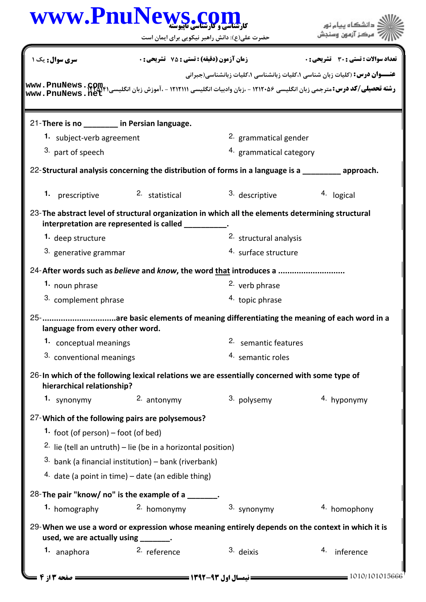|                                              | حضرت علی(ع): دانش راهبر نیکویی برای ایمان است                           |                                                                                                      |                                                                                   |  |  |
|----------------------------------------------|-------------------------------------------------------------------------|------------------------------------------------------------------------------------------------------|-----------------------------------------------------------------------------------|--|--|
| <b>سری سوال:</b> یک ۱                        | <b>زمان آزمون (دقیقه) : تستی : 75 ٪ تشریحی : 0</b>                      |                                                                                                      | تعداد سوالات : تستي : 30 - تشريحي : 0                                             |  |  |
|                                              |                                                                         |                                                                                                      | <b>عنـــوان درس:</b> (کلیات زبان شناسی ۱،کلیات زبانشناسی ۱،کلیات زبانشناسی(جبرانی |  |  |
| www.PnuNews.net                              |                                                                         |                                                                                                      |                                                                                   |  |  |
| 21-There is no ________ in Persian language. |                                                                         |                                                                                                      |                                                                                   |  |  |
| 1. subject-verb agreement                    |                                                                         | 2. grammatical gender                                                                                |                                                                                   |  |  |
| 3. part of speech                            |                                                                         | 4. grammatical category                                                                              |                                                                                   |  |  |
|                                              |                                                                         | 22-Structural analysis concerning the distribution of forms in a language is a subsequence approach. |                                                                                   |  |  |
| 1. prescriptive                              | 2. statistical                                                          | 3. descriptive                                                                                       | 4. logical                                                                        |  |  |
| interpretation are represented is called     |                                                                         | 23-The abstract level of structural organization in which all the elements determining structural    |                                                                                   |  |  |
| 1. deep structure                            |                                                                         | 2. structural analysis                                                                               |                                                                                   |  |  |
| 3. generative grammar                        |                                                                         | 4. surface structure                                                                                 |                                                                                   |  |  |
|                                              |                                                                         | 24-After words such as <i>believe</i> and <i>know</i> , the word that introduces a                   |                                                                                   |  |  |
| 1. noun phrase                               |                                                                         | <sup>2.</sup> verb phrase                                                                            |                                                                                   |  |  |
| 3. complement phrase                         |                                                                         | 4. topic phrase                                                                                      |                                                                                   |  |  |
| language from every other word.              |                                                                         | 25-are basic elements of meaning differentiating the meaning of each word in a                       |                                                                                   |  |  |
| 1. conceptual meanings                       |                                                                         |                                                                                                      | 2. semantic features                                                              |  |  |
|                                              | 3. conventional meanings                                                |                                                                                                      | 4. semantic roles                                                                 |  |  |
| hierarchical relationship?                   |                                                                         | 26-In which of the following lexical relations we are essentially concerned with some type of        |                                                                                   |  |  |
| 1. synonymy                                  | 2. antonymy                                                             | 3. polysemy                                                                                          | 4. hyponymy                                                                       |  |  |
|                                              | 27-Which of the following pairs are polysemous?                         |                                                                                                      |                                                                                   |  |  |
| 1. foot (of person) – foot (of bed)          |                                                                         |                                                                                                      |                                                                                   |  |  |
|                                              | <sup>2.</sup> lie (tell an untruth) – lie (be in a horizontal position) |                                                                                                      |                                                                                   |  |  |
|                                              | 3. bank (a financial institution) - bank (riverbank)                    |                                                                                                      |                                                                                   |  |  |
|                                              | 4. date (a point in time) – date (an edible thing)                      |                                                                                                      |                                                                                   |  |  |
|                                              | 28-The pair "know/ no" is the example of a _______.                     |                                                                                                      |                                                                                   |  |  |
| 1. homography                                | 2. homonymy                                                             | 3. synonymy                                                                                          | 4. homophony                                                                      |  |  |
| used, we are actually using _______.         |                                                                         | 29-When we use a word or expression whose meaning entirely depends on the context in which it is     |                                                                                   |  |  |
| 1. anaphora                                  | <sup>2.</sup> reference                                                 | 3. deixis                                                                                            | 4. inference                                                                      |  |  |